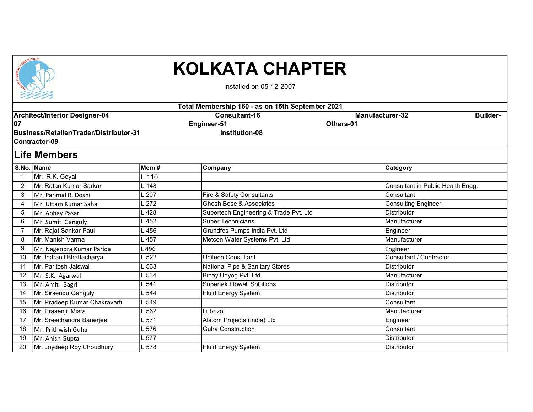

## KOLKATA CHAPTER

Installed on 05-12-2007

|    | <b>ASSESSED</b>                         |         |                                                  |                                   |                 |  |  |  |
|----|-----------------------------------------|---------|--------------------------------------------------|-----------------------------------|-----------------|--|--|--|
|    |                                         |         | Total Membership 160 - as on 15th September 2021 |                                   |                 |  |  |  |
|    | <b>Architect/Interior Designer-04</b>   |         | <b>Consultant-16</b>                             | <b>Manufacturer-32</b>            | <b>Builder-</b> |  |  |  |
| 07 |                                         |         | Engineer-51                                      | Others-01                         |                 |  |  |  |
|    | Business/Retailer/Trader/Distributor-31 |         | <b>Institution-08</b>                            |                                   |                 |  |  |  |
|    | Contractor-09                           |         |                                                  |                                   |                 |  |  |  |
|    | ∣Life Members                           |         |                                                  |                                   |                 |  |  |  |
|    | S.No. Name                              | Mem #   | Company                                          | <b>Category</b>                   |                 |  |  |  |
| 1  | Mr. R.K. Goyal                          | $L$ 110 |                                                  |                                   |                 |  |  |  |
| 2  | Mr. Ratan Kumar Sarkar                  | - 148   |                                                  | Consultant in Public Health Engg. |                 |  |  |  |
| 3  | Mr. Parimal R. Doshi                    | 207     | Fire & Safety Consultants                        | Consultant                        |                 |  |  |  |
| 4  | Mr. Uttam Kumar Saha                    | 272     | Ghosh Bose & Associates                          | Consulting Engineer               |                 |  |  |  |
| 5  | Mr. Abhay Pasari                        | 428     | Supertech Engineering & Trade Pvt. Ltd           | <b>Distributor</b>                |                 |  |  |  |
| 6  | Mr. Sumit Ganguly                       | 452     | <b>Super Technicians</b>                         | Manufacturer                      |                 |  |  |  |
|    | Mr. Rajat Sankar Paul                   | . 456   | Grundfos Pumps India Pvt. Ltd                    | Engineer                          |                 |  |  |  |
| 8  | Mr. Manish Varma                        | 457     | Metcon Water Systems Pvt. Ltd                    | Manufacturer                      |                 |  |  |  |
| 9  | Mr. Nagendra Kumar Parida               | . 496   |                                                  | Engineer                          |                 |  |  |  |
| 10 | Mr. Indranil Bhattacharya               | 522     | Unitech Consultant                               | Consultant / Contractor           |                 |  |  |  |
| 11 | İMr. Paritosh Jaiswal                   | - 533   | National Pipe & Sanitary Stores                  | Distributor                       |                 |  |  |  |
| 12 | Mr. S.K. Agarwal                        | 534     | Binay Udyog Pvt. Ltd                             | Manufacturer                      |                 |  |  |  |
| 13 | Mr. Amit Bagri                          | 541     | <b>Supertek Flowell Solutions</b>                | <b>Distributor</b>                |                 |  |  |  |
| 14 | Mr. Sirsendu Ganguly                    | 544     | Fluid Energy System                              | Distributor                       |                 |  |  |  |
| 15 | Mr. Pradeep Kumar Chakravarti           | 549     |                                                  | Consultant                        |                 |  |  |  |
| 16 | Mr. Prasenjit Misra                     | 562     | Lubrizol                                         | Manufacturer                      |                 |  |  |  |
| 17 | Mr. Sreechandra Banerjee                | .571    | Alstom Projects (India) Ltd                      | Engineer                          |                 |  |  |  |
| 18 | Mr. Prithwish Guha                      | . 576   | <b>Guha Construction</b>                         | Consultant                        |                 |  |  |  |
| 19 | Mr. Anish Gupta                         | 577     |                                                  | <b>Distributor</b>                |                 |  |  |  |
| 20 | Mr. Joydeep Roy Choudhury               | L 578   | <b>Fluid Energy System</b>                       | Distributor                       |                 |  |  |  |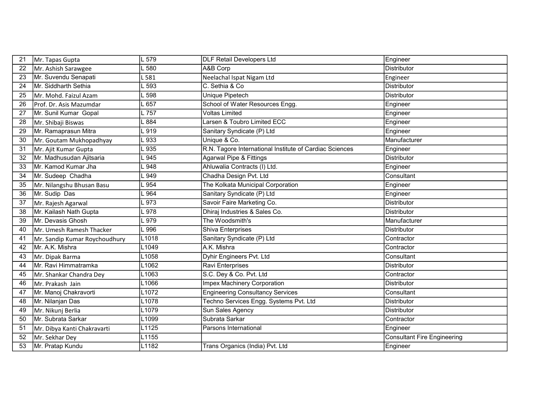| 21 | Mr. Tapas Gupta               | L 579               | <b>DLF Retail Developers Ltd</b>                        | Engineer                           |
|----|-------------------------------|---------------------|---------------------------------------------------------|------------------------------------|
| 22 | Mr. Ashish Sarawgee           | $-580$              | A&B Corp                                                | <b>Distributor</b>                 |
| 23 | Mr. Suvendu Senapati          | 581                 | Neelachal Ispat Nigam Ltd                               | Engineer                           |
| 24 | Mr. Siddharth Sethia          | 593                 | C. Sethia & Co                                          | <b>Distributor</b>                 |
| 25 | Mr. Mohd. Faizul Azam         | 598                 | Unique Pipetech                                         | <b>Distributor</b>                 |
| 26 | Prof. Dr. Asis Mazumdar       | $-657$              | School of Water Resources Engg.                         | Engineer                           |
| 27 | Mr. Sunil Kumar Gopal         | L757                | <b>Voltas Limited</b>                                   | Engineer                           |
| 28 | Mr. Shibaji Biswas            | L 884               | Larsen & Toubro Limited ECC                             | Engineer                           |
| 29 | Mr. Ramaprasun Mitra          | L 919               | Sanitary Syndicate (P) Ltd                              | Engineer                           |
| 30 | Mr. Goutam Mukhopadhyay       | L 933               | Unique & Co.                                            | Manufacturer                       |
| 31 | Mr. Ajit Kumar Gupta          | $-935$              | R.N. Tagore International Institute of Cardiac Sciences | Engineer                           |
| 32 | Mr. Madhusudan Ajitsaria      | 945                 | <b>Agarwal Pipe &amp; Fittings</b>                      | <b>Distributor</b>                 |
| 33 | Mr. Kamod Kumar Jha           | $-948$              | Ahluwalia Contracts (I) Ltd.                            | Engineer                           |
| 34 | Mr. Sudeep Chadha             | $\sqrt{949}$        | Chadha Design Pvt. Ltd                                  | Consultant                         |
| 35 | Mr. Nilangshu Bhusan Basu     | L954                | The Kolkata Municipal Corporation                       | Engineer                           |
| 36 | Mr. Sudip Das                 | L964                | Sanitary Syndicate (P) Ltd                              | Engineer                           |
| 37 | Mr. Rajesh Agarwal            | L973                | Savoir Faire Marketing Co.                              | <b>Distributor</b>                 |
| 38 | Mr. Kailash Nath Gupta        | _978                | Dhiraj Industries & Sales Co.                           | <b>Distributor</b>                 |
| 39 | Mr. Devasis Ghosh             | L 979               | The Woodsmith's                                         | Manufacturer                       |
| 40 | Mr. Umesh Ramesh Thacker      | L 996               | Shiva Enterprises                                       | Distributor                        |
| 41 | Mr. Sandip Kumar Roychoudhury | L1018               | Sanitary Syndicate (P) Ltd                              | Contractor                         |
| 42 | Mr. A.K. Mishra               | L1049               | A.K. Mishra                                             | Contractor                         |
| 43 | Mr. Dipak Barma               | L1058               | Dyhir Engineers Pvt. Ltd                                | Consultant                         |
| 44 | Mr. Ravi Himmatramka          | L1062               | Ravi Enterprises                                        | <b>Distributor</b>                 |
| 45 | Mr. Shankar Chandra Dey       | L1063               | S.C. Dey & Co. Pvt. Ltd                                 | Contractor                         |
| 46 | Mr. Prakash Jain              | L1066               | <b>Impex Machinery Corporation</b>                      | <b>Distributor</b>                 |
| 47 | Mr. Manoj Chakravorti         | L1072               | <b>Engineering Consultancy Services</b>                 | Consultant                         |
| 48 | Mr. Nilanjan Das              | L1078               | Techno Services Engg. Systems Pvt. Ltd                  | <b>Distributor</b>                 |
| 49 | Mr. Nikunj Berlia             | L1079               | Sun Sales Agency                                        | <b>Distributor</b>                 |
| 50 | Mr. Subrata Sarkar            | L1099               | Subrata Sarkar                                          | Contractor                         |
| 51 | Mr. Dibya Kanti Chakravarti   | L1125               | Parsons International                                   | Engineer                           |
| 52 | Mr. Sekhar Dey                | $\overline{L}$ 1155 |                                                         | <b>Consultant Fire Engineering</b> |
| 53 | Mr. Pratap Kundu              | L1182               | Trans Organics (India) Pvt. Ltd                         | Engineer                           |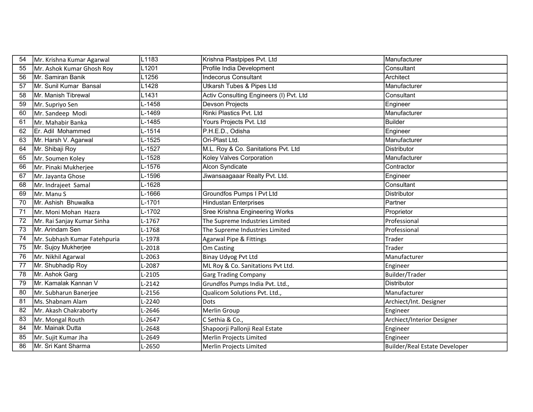| 54 | Mr. Krishna Kumar Agarwal    | L1183                | Krishna Plastpipes Pvt. Ltd             | Manufacturer                  |
|----|------------------------------|----------------------|-----------------------------------------|-------------------------------|
| 55 | Mr. Ashok Kumar Ghosh Roy    | L1201                | Profile India Development               | Consultant                    |
| 56 | Mr. Samiran Banik            | L1256                | <b>Indecorus Consultant</b>             | Architect                     |
| 57 | Mr. Sunil Kumar Bansal       | L1428                | <b>Utkarsh Tubes &amp; Pipes Ltd</b>    | Manufacturer                  |
| 58 | Mr. Manish Tibrewal          | L1431                | Activ Consulting Engineers (I) Pvt. Ltd | Consultant                    |
| 59 | Mr. Supriyo Sen              | L-1458               | Devson Projects                         | Engineer                      |
| 60 | Mr. Sandeep Modi             | L-1469               | Rinki Plastics Pvt. Ltd                 | Manufacturer                  |
| 61 | Mr. Mahabir Banka            | L-1485               | Yours Projects Pvt. Ltd                 | <b>Builder</b>                |
| 62 | Er. Adil Mohammed            | $L-1514$             | P.H.E.D., Odisha                        | Engineer                      |
| 63 | Mr. Harsh V. Agarwal         | $L-1525$             | Ori-Plast Ltd.                          | Manufacturer                  |
| 64 | Mr. Shibaji Roy              | L-1527               | M.L. Roy & Co. Sanitations Pvt. Ltd     | <b>Distributor</b>            |
| 65 | Mr. Soumen Koley             | L-1528               | Koley Valves Corporation                | Manufacturer                  |
| 66 | Mr. Pinaki Mukherjee         | L-1576               | Alcon Syndicate                         | Contractor                    |
| 67 | Mr. Jayanta Ghose            | L-1596               | Jiwansaagaaar Realty Pvt. Ltd.          | Engineer                      |
| 68 | Mr. Indrajeet Samal          | L-1628               |                                         | Consultant                    |
| 69 | Mr. Manu S                   | L-1666               | Groundfos Pumps I Pvt Ltd               | Distributor                   |
| 70 | Mr. Ashish Bhuwalka          | $\overline{L}$ -1701 | <b>Hindustan Enterprises</b>            | Partner                       |
| 71 | Mr. Moni Mohan Hazra         | L-1702               | Sree Krishna Engineering Works          | Proprietor                    |
| 72 | Mr. Rai Sanjay Kumar Sinha   | L-1767               | The Supreme Industries Limited          | Professional                  |
| 73 | Mr. Arindam Sen              | $L-1768$             | The Supreme Industries Limited          | Professional                  |
| 74 | Mr. Subhash Kumar Fatehpuria | L-1978               | <b>Agarwal Pipe &amp; Fittings</b>      | Trader                        |
| 75 | Mr. Sujoy Mukherjee          | $L-2018$             | Om Casting                              | Trader                        |
| 76 | Mr. Nikhil Agarwal           | L-2063               | <b>Binay Udyog Pvt Ltd</b>              | Manufacturer                  |
| 77 | Mr. Shubhadip Roy            | L-2087               | ML Roy & Co. Sanitations Pvt Ltd.       | Engineer                      |
| 78 | Mr. Ashok Garg               | L-2105               | <b>Garg Trading Company</b>             | Builder/Trader                |
| 79 | Mr. Kamalak Kannan V         | $L-2142$             | Grundfos Pumps India Pvt. Ltd.,         | <b>Distributor</b>            |
| 80 | Mr. Subharun Banerjee        | L-2156               | Qualicom Solutions Pvt. Ltd.,           | Manufacturer                  |
| 81 | lMs. Shabnam Alam            | L-2240               | Dots                                    | Archiect/Int. Designer        |
| 82 | Mr. Akash Chakraborty        | L-2646               | Merlin Group                            | Engineer                      |
| 83 | Mr. Mongal Routh             | L-2647               | C Sethia & Co.,                         | Archiect/Interior Designer    |
| 84 | Mr. Mainak Dutta             | L-2648               | Shapoorji Pallonji Real Estate          | Engineer                      |
| 85 | Mr. Sujit Kumar Jha          | L-2649               | Merlin Projects Limited                 | Engineer                      |
| 86 | Mr. Sri Kant Sharma          | L-2650               | Merlin Projects Limited                 | Builder/Real Estate Developer |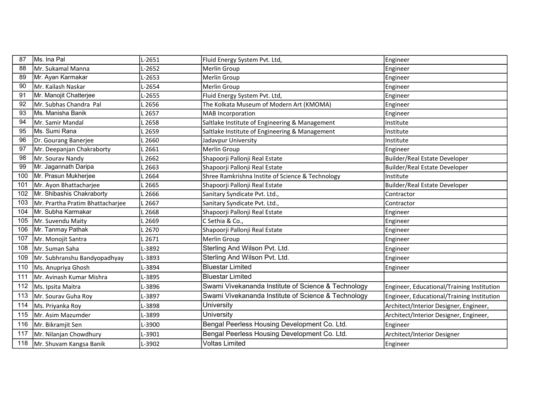| 87  | Ms. Ina Pal                      | L-2651            | Fluid Energy System Pvt. Ltd,                       | Engineer                                   |
|-----|----------------------------------|-------------------|-----------------------------------------------------|--------------------------------------------|
| 88  | Mr. Sukamal Manna                | L-2652            | Merlin Group                                        | Engineer                                   |
| 89  | Mr. Ayan Karmakar                | L-2653            | Merlin Group                                        | Engineer                                   |
| 90  | lMr. Kailash Naskar              | L-2654            | Merlin Group                                        | Engineer                                   |
| 91  | Mr. Manojit Chatterjee           | L-2655            | Fluid Energy System Pvt. Ltd,                       | Engineer                                   |
| 92  | Mr. Subhas Chandra Pal           | .2656             | The Kolkata Museum of Modern Art (KMOMA)            | Engineer                                   |
| 93  | İMs. Manisha Banik               | L 2657            | <b>MAB</b> Incorporation                            | Engineer                                   |
| 94  | Mr. Samir Mandal                 | 2658              | Saltlake Institute of Engineering & Management      | Institute                                  |
| 95  | ∣Ms. Sumi Rana                   | L 2659            | Saltlake Institute of Engineering & Management      | Institute                                  |
| 96  | Dr. Gourang Banerjee             | .2660             | Jadavpur University                                 | Institute                                  |
| 97  | Mr. Deepanjan Chakraborty        | . 2661            | Merlin Group                                        | Engineer                                   |
| 98  | Mr. Sourav Nandy                 | .2662             | Shapoorji Pallonji Real Estate                      | Builder/Real Estate Developer              |
| 99  | Mr. Jagannath Daripa             | .2663             | Shapoorji Pallonji Real Estate                      | <b>Builder/Real Estate Developer</b>       |
| 100 | Mr. Prasun Mukherjee             | 2664              | Shree Ramkrishna Instite of Science & Technology    | Institute                                  |
| 101 | Mr. Ayon Bhattacharjee           | .2665             | Shapoorji Pallonji Real Estate                      | <b>Builder/Real Estate Developer</b>       |
| 102 | Mr. Shibashis Chakraborty        | L <sub>2666</sub> | Sanitary Syndicate Pvt. Ltd.,                       | Contractor                                 |
| 103 | Mr. Prartha Pratim Bhattacharjee | L 2667            | Sanitary Syndicate Pvt. Ltd.,                       | Contractor                                 |
| 104 | Mr. Subha Karmakar               | 2668              | Shapoorji Pallonji Real Estate                      | Engineer                                   |
| 105 | Mr. Suvendu Maity                | 2669              | C Sethia & Co.,                                     | Engineer                                   |
| 106 | Mr. Tanmay Pathak                | .2670             | Shapoorji Pallonji Real Estate                      | Engineer                                   |
| 107 | Mr. Monojit Santra               | L 2671            | Merlin Group                                        | Engineer                                   |
| 108 | Mr. Suman Saha                   | L-3892            | Sterling And Wilson Pvt. Ltd.                       | Engineer                                   |
| 109 | Mr. Subhranshu Bandyopadhyay     | L-3893            | Sterling And Wilson Pvt. Ltd.                       | Engineer                                   |
| 110 | Ms. Anupriya Ghosh               | L-3894            | <b>Bluestar Limited</b>                             | Engineer                                   |
| 111 | Mr. Avinash Kumar Mishra         | L-3895            | <b>Bluestar Limited</b>                             |                                            |
| 112 | Ms. Ipsita Maitra                | L-3896            | Swami Vivekananda Institute of Science & Technology | Engineer, Educational/Training Institution |
| 113 | Mr. Sourav Guha Roy              | L-3897            | Swami Vivekananda Institute of Science & Technology | Engineer, Educational/Training Institution |
| 114 | Ms. Priyanka Roy                 | L-3898            | University                                          | Architect/Interior Designer, Engineer,     |
| 115 | Mr. Asim Mazumder                | L-3899            | University                                          | Architect/Interior Designer, Engineer,     |
| 116 | Mr. Bikramjit Sen                | L-3900            | Bengal Peerless Housing Development Co. Ltd.        | Engineer                                   |
| 117 | Mr. Nilanjan Chowdhury           | $-3901$           | Bengal Peerless Housing Development Co. Ltd.        | Architect/Interior Designer                |
| 118 | Mr. Shuvam Kangsa Banik          | L-3902            | <b>Voltas Limited</b>                               | Engineer                                   |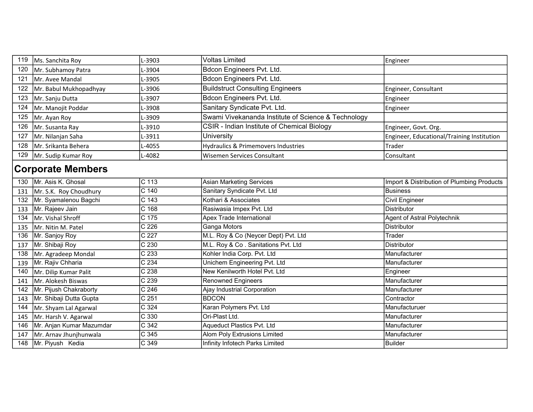| 119 | Ms. Sanchita Roy         | $-3903$            | <b>Voltas Limited</b>                               | Engineer                                   |
|-----|--------------------------|--------------------|-----------------------------------------------------|--------------------------------------------|
| 120 | Mr. Subhamoy Patra       | -3904              | Bdcon Engineers Pvt. Ltd.                           |                                            |
| 121 | Mr. Avee Mandal          | L-3905             | Bdcon Engineers Pvt. Ltd.                           |                                            |
| 122 | Mr. Babul Mukhopadhyay   | L-3906             | <b>Buildstruct Consulting Engineers</b>             | Engineer, Consultant                       |
| 123 | Mr. Sanju Dutta          | L-3907             | Bdcon Engineers Pvt. Ltd.                           | Engineer                                   |
| 124 | Mr. Manojit Poddar       | L-3908             | Sanitary Syndicate Pvt. Ltd.                        | Engineer                                   |
| 125 | Mr. Ayan Roy             | L-3909             | Swami Vivekananda Institute of Science & Technology |                                            |
| 126 | Mr. Susanta Ray          | L-3910             | CSIR - Indian Institute of Chemical Biology         | Engineer, Govt. Org.                       |
| 127 | Mr. Nilanjan Saha        | L-3911             | University                                          | Engineer, Educational/Training Institution |
| 128 | Mr. Srikanta Behera      | L-4055             | Hydraulics & Primemovers Industries                 | Trader                                     |
| 129 | Mr. Sudip Kumar Roy      | L-4082             | <b>Wisemen Services Consultant</b>                  | Consultant                                 |
|     | <b>Corporate Members</b> |                    |                                                     |                                            |
| 130 | Mr. Asis K. Ghosal       | $\overline{C}$ 113 | <b>Asian Marketing Services</b>                     | Import & Distribution of Plumbing Products |
| 131 | Mr. S.K. Roy Choudhury   | C <sub>140</sub>   | Sanitary Syndicate Pvt. Ltd                         | <b>Business</b>                            |
| 132 | Mr. Syamalenou Bagchi    | $C$ 143            | Kothari & Associates                                | <b>Civil Engineer</b>                      |
| 133 | Mr. Rajeev Jain          | $C$ 168            | Rasiwasia Impex Pvt. Ltd                            | <b>Distributor</b>                         |
| 134 | Mr. Vishal Shroff        | C 175              | Apex Trade International                            | Agent of Astral Polytechnik                |
| 135 | Mr. Nitin M. Patel       | $\overline{C}$ 226 | Ganga Motors                                        | Distributor                                |
| 136 | Mr. Sanjoy Roy           | C 227              | M.L. Roy & Co (Neycer Dept) Pvt. Ltd                | Trader                                     |
| 137 | Mr. Shibaji Roy          | C 230              | M.L. Roy & Co. Sanitations Pvt. Ltd                 | <b>Distributor</b>                         |
| 138 | Mr. Agradeep Mondal      | C 233              | Kohler India Corp. Pvt. Ltd                         | Manufacturer                               |
| 139 | Mr. Rajiv Chharia        | $\overline{C}$ 234 | Unichem Engineering Pvt. Ltd                        | Manufacturer                               |
| 140 | Mr. Dilip Kumar Palit    | $\overline{C}$ 238 | New Kenilworth Hotel Pvt. Ltd                       | Engineer                                   |
| 141 | Mr. Alokesh Biswas       | C 239              | <b>Renowned Engineers</b>                           | Manufacturer                               |
| 142 | Mr. Pijush Chakraborty   | $\overline{C}$ 246 | Ajay Industrial Corporation                         | Manufacturer                               |
| 143 | Mr. Shibaji Dutta Gupta  | C <sub>251</sub>   | <b>BDCON</b>                                        | Contractor                                 |
| 144 | Mr. Shyam Lal Agarwal    | C 324              | Karan Polymers Pvt. Ltd                             | Manufacturuer                              |
| 145 | Mr. Harsh V. Agarwal     | $\overline{C}$ 330 | Ori-Plast Ltd.                                      | Manufacturer                               |
| 146 | Mr. Anjan Kumar Mazumdar | C 342              | Aqueduct Plastics Pvt. Ltd                          | Manufacturer                               |
| 147 | Mr. Arnav Jhunjhunwala   | C 345              | <b>Alom Poly Extrusions Limited</b>                 | Manufacturer                               |
| 148 | Mr. Piyush Kedia         | C 349              | Infinity Infotech Parks Limited                     | <b>Builder</b>                             |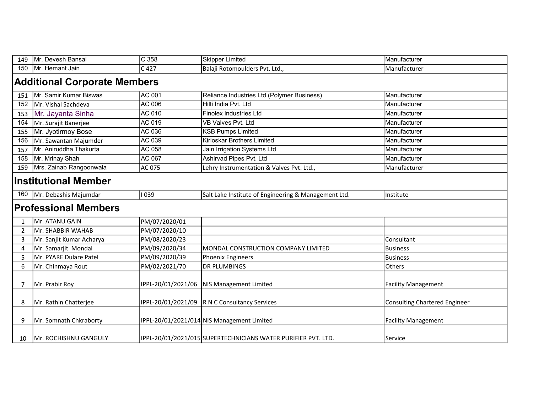| 149 | Mr. Devesh Bansal                                                                                         | C <sub>358</sub>   | <b>Skipper Limited</b>                                        | Manufacturer                         |  |  |
|-----|-----------------------------------------------------------------------------------------------------------|--------------------|---------------------------------------------------------------|--------------------------------------|--|--|
| 150 | Mr. Hemant Jain                                                                                           | C 427              | Balaji Rotomoulders Pvt. Ltd.,                                | Manufacturer                         |  |  |
|     | <b>Additional Corporate Members</b>                                                                       |                    |                                                               |                                      |  |  |
| 151 | Mr. Samir Kumar Biswas                                                                                    | AC 001             | Reliance Industries Ltd (Polymer Business)                    | Manufacturer                         |  |  |
| 152 | Mr. Vishal Sachdeva                                                                                       | <b>AC 006</b>      | Hilti India Pvt. Ltd                                          | Manufacturer                         |  |  |
| 153 | Mr. Jayanta Sinha                                                                                         | AC 010             | <b>Finolex Industries Ltd</b>                                 | Manufacturer                         |  |  |
| 154 | Mr. Surajit Banerjee                                                                                      | AC 019             | <b>VB Valves Pvt. Ltd</b>                                     | Manufacturer                         |  |  |
| 155 | Mr. Jyotirmoy Bose                                                                                        | AC 036             | <b>KSB Pumps Limited</b>                                      | Manufacturer                         |  |  |
| 156 | Mr. Sawantan Majumder                                                                                     | AC 039             | Kirloskar Brothers Limited                                    | Manufacturer                         |  |  |
| 157 | Mr. Aniruddha Thakurta                                                                                    | AC 058             | Jain Irrigation Systems Ltd                                   | Manufacturer                         |  |  |
| 158 | Mr. Mrinay Shah                                                                                           | AC 067             | Ashirvad Pipes Pvt. Ltd                                       | Manufacturer                         |  |  |
| 159 | Mrs. Zainab Rangoonwala                                                                                   | AC 075             | Lehry Instrumentation & Valves Pvt. Ltd.,                     | Manufacturer                         |  |  |
|     | <b>Institutional Member</b>                                                                               |                    |                                                               |                                      |  |  |
|     | Mr. Debashis Majumdar<br>1039<br>Salt Lake Institute of Engineering & Management Ltd.<br>160<br>Institute |                    |                                                               |                                      |  |  |
|     | <b>Professional Members</b>                                                                               |                    |                                                               |                                      |  |  |
|     | lMr. ATANU GAIN                                                                                           | PM/07/2020/01      |                                                               |                                      |  |  |
| 2   | Mr. SHABBIR WAHAB                                                                                         | PM/07/2020/10      |                                                               |                                      |  |  |
| 3   | Mr. Sanjit Kumar Acharya                                                                                  | PM/08/2020/23      |                                                               | Consultant                           |  |  |
| 4   | Mr. Samarjit Mondal                                                                                       | PM/09/2020/34      | MONDAL CONSTRUCTION COMPANY LIMITED                           | <b>Business</b>                      |  |  |
| 5   | Mr. PYARE Dulare Patel                                                                                    | PM/09/2020/39      | Phoenix Engineers                                             | <b>Business</b>                      |  |  |
| 6   | Mr. Chinmaya Rout                                                                                         | PM/02/2021/70      | <b>DR PLUMBINGS</b>                                           | Others                               |  |  |
| 7   | Mr. Prabir Roy                                                                                            | IPPL-20/01/2021/06 | NIS Management Limited                                        | <b>Facility Management</b>           |  |  |
| 8   | Mr. Rathin Chatterjee                                                                                     |                    | IPPL-20/01/2021/09  R N C Consultancy Services                | <b>Consulting Chartered Engineer</b> |  |  |
| 9   | Mr. Somnath Chkraborty                                                                                    |                    | IPPL-20/01/2021/014 NIS Management Limited                    | <b>Facility Management</b>           |  |  |
| 10  | IMr. ROCHISHNU GANGULY                                                                                    |                    | IPPL-20/01/2021/015 SUPERTECHNICIANS WATER PURIFIER PVT. LTD. | Service                              |  |  |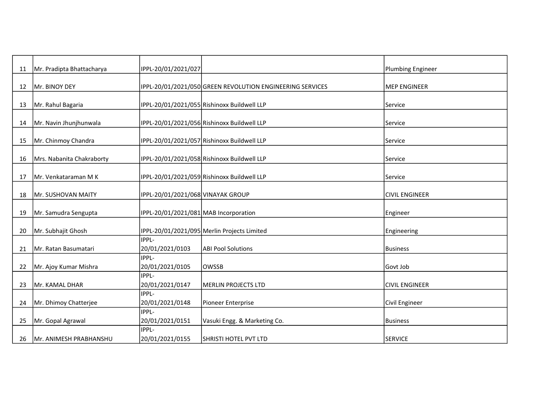| 11 | Mr. Pradipta Bhattacharya | IPPL-20/01/2021/027                   |                                                           | <b>Plumbing Engineer</b> |
|----|---------------------------|---------------------------------------|-----------------------------------------------------------|--------------------------|
|    | Mr. BINOY DEY             |                                       | IPPL-20/01/2021/050 GREEN REVOLUTION ENGINEERING SERVICES | <b>MEP ENGINEER</b>      |
| 12 |                           |                                       |                                                           |                          |
| 13 | Mr. Rahul Bagaria         |                                       | IPPL-20/01/2021/055 Rishinoxx Buildwell LLP               | Service                  |
| 14 | Mr. Navin Jhunjhunwala    |                                       | IPPL-20/01/2021/056 Rishinoxx Buildwell LLP               | Service                  |
|    |                           |                                       |                                                           |                          |
| 15 | Mr. Chinmoy Chandra       |                                       | IPPL-20/01/2021/057 Rishinoxx Buildwell LLP               | Service                  |
| 16 | Mrs. Nabanita Chakraborty |                                       | IPPL-20/01/2021/058 Rishinoxx Buildwell LLP               | Service                  |
|    |                           |                                       |                                                           |                          |
| 17 | Mr. Venkataraman M K      |                                       | IPPL-20/01/2021/059 Rishinoxx Buildwell LLP               | Service                  |
| 18 | Mr. SUSHOVAN MAITY        | IPPL-20/01/2021/068 VINAYAK GROUP     |                                                           | <b>CIVIL ENGINEER</b>    |
|    |                           |                                       |                                                           |                          |
| 19 | Mr. Samudra Sengupta      | IPPL-20/01/2021/081 MAB Incorporation |                                                           | Engineer                 |
|    | Mr. Subhajit Ghosh        |                                       |                                                           |                          |
| 20 |                           | IPPL-                                 | IPPL-20/01/2021/095 Merlin Projects Limited               | Engineering              |
| 21 | Mr. Ratan Basumatari      | 20/01/2021/0103                       | <b>ABI Pool Solutions</b>                                 | <b>Business</b>          |
|    |                           | IPPL-                                 |                                                           |                          |
| 22 | Mr. Ajoy Kumar Mishra     | 20/01/2021/0105                       | <b>OWSSB</b>                                              | Govt Job                 |
|    |                           | IPPL-                                 |                                                           |                          |
| 23 | Mr. KAMAL DHAR            | 20/01/2021/0147                       | <b>MERLIN PROJECTS LTD</b>                                | <b>CIVIL ENGINEER</b>    |
|    |                           | IPPL-                                 |                                                           |                          |
| 24 | Mr. Dhimoy Chatterjee     | 20/01/2021/0148                       | Pioneer Enterprise                                        | Civil Engineer           |
|    |                           | IPPL-                                 |                                                           |                          |
| 25 | Mr. Gopal Agrawal         | 20/01/2021/0151                       | Vasuki Engg. & Marketing Co.                              | <b>Business</b>          |
|    |                           | IPPL-                                 |                                                           |                          |
| 26 | Mr. ANIMESH PRABHANSHU    | 20/01/2021/0155                       | SHRISTI HOTEL PVT LTD                                     | <b>SERVICE</b>           |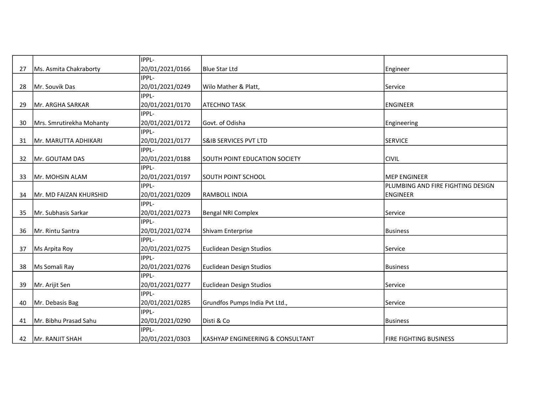|    |                          | IPPL-           |                                      |                                   |
|----|--------------------------|-----------------|--------------------------------------|-----------------------------------|
| 27 | Ms. Asmita Chakraborty   | 20/01/2021/0166 | Blue Star Ltd                        | Engineer                          |
|    |                          | IPPL-           |                                      |                                   |
| 28 | Mr. Souvik Das           | 20/01/2021/0249 | Wilo Mather & Platt,                 | Service                           |
|    |                          | IPPL-           |                                      |                                   |
| 29 | Mr. ARGHA SARKAR         | 20/01/2021/0170 | <b>ATECHNO TASK</b>                  | <b>ENGINEER</b>                   |
|    |                          | IPPL-           |                                      |                                   |
| 30 | Mrs. Smrutirekha Mohanty | 20/01/2021/0172 | Govt. of Odisha                      | Engineering                       |
|    |                          | IPPL-           |                                      |                                   |
| 31 | Mr. MARUTTA ADHIKARI     | 20/01/2021/0177 | <b>S&amp;IB SERVICES PVT LTD</b>     | <b>SERVICE</b>                    |
|    |                          | IPPL-           |                                      |                                   |
| 32 | Mr. GOUTAM DAS           | 20/01/2021/0188 | <b>SOUTH POINT EDUCATION SOCIETY</b> | <b>CIVIL</b>                      |
|    |                          | IPPL-           |                                      |                                   |
| 33 | Mr. MOHSIN ALAM          | 20/01/2021/0197 | SOUTH POINT SCHOOL                   | <b>MEP ENGINEER</b>               |
|    |                          | IPPL-           |                                      | PLUMBING AND FIRE FIGHTING DESIGN |
| 34 | Mr. MD FAIZAN KHURSHID   | 20/01/2021/0209 | RAMBOLL INDIA                        | <b>ENGINEER</b>                   |
|    |                          | IPPL-           |                                      |                                   |
| 35 | Mr. Subhasis Sarkar      | 20/01/2021/0273 | Bengal NRI Complex                   | Service                           |
|    |                          | IPPL-           |                                      |                                   |
| 36 | Mr. Rintu Santra         | 20/01/2021/0274 | Shivam Enterprise                    | <b>Business</b>                   |
|    |                          | IPPL-           |                                      |                                   |
| 37 | Ms Arpita Roy            | 20/01/2021/0275 | Euclidean Design Studios             | Service                           |
|    |                          | IPPL-           |                                      |                                   |
| 38 | Ms Somali Ray            | 20/01/2021/0276 | Euclidean Design Studios             | <b>Business</b>                   |
|    |                          | <b>IPPL-</b>    |                                      |                                   |
| 39 | Mr. Arijit Sen           | 20/01/2021/0277 | Euclidean Design Studios             | Service                           |
|    |                          | IPPL-           |                                      |                                   |
| 40 | Mr. Debasis Bag          | 20/01/2021/0285 | Grundfos Pumps India Pvt Ltd.,       | Service                           |
|    |                          | IPPL-           |                                      |                                   |
| 41 | Mr. Bibhu Prasad Sahu    | 20/01/2021/0290 | Disti & Co                           | Business                          |
|    |                          | IPPL-           |                                      |                                   |
| 42 | Mr. RANJIT SHAH          | 20/01/2021/0303 | lKASHYAP ENGINEERING & CONSULTANT    | <b>FIRE FIGHTING BUSINESS</b>     |